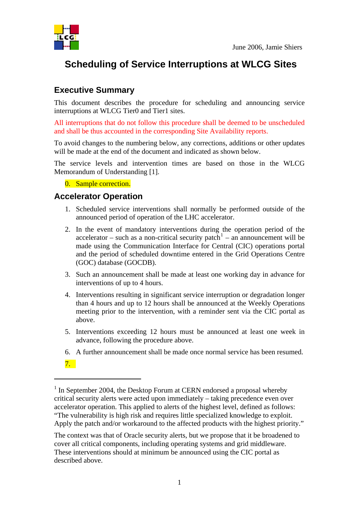

## **Scheduling of Service Interruptions at WLCG Sites**

## **Executive Summary**

This document describes the procedure for scheduling and announcing service interruptions at WLCG Tier0 and Tier1 sites.

All interruptions that do not follow this procedure shall be deemed to be unscheduled and shall be thus accounted in the corresponding Site Availability reports.

To avoid changes to the numbering below, any corrections, additions or other updates will be made at the end of the document and indicated as shown below.

The service levels and intervention times are based on those in the WLCG Memorandum of Understanding [1].

0. Sample correction.

## **Accelerator Operation**

- 1. Scheduled service interventions shall normally be performed outside of the announced period of operation of the LHC accelerator.
- 2. In the event of mandatory interventions during the operation period of the accelerator – such as a non-critical security patch<sup>[1](#page-0-0)</sup> – an announcement will be made using the Communication Interface for Central (CIC) operations portal and the period of scheduled downtime entered in the Grid Operations Centre (GOC) database (GOCDB).
- 3. Such an announcement shall be made at least one working day in advance for interventions of up to 4 hours.
- 4. Interventions resulting in significant service interruption or degradation longer than 4 hours and up to 12 hours shall be announced at the Weekly Operations meeting prior to the intervention, with a reminder sent via the CIC portal as above.
- 5. Interventions exceeding 12 hours must be announced at least one week in advance, following the procedure above.
- 6. A further announcement shall be made once normal service has been resumed.
- 7.

 $\overline{a}$ 

The context was that of Oracle security alerts, but we propose that it be broadened to cover all critical components, including operating systems and grid middleware. These interventions should at minimum be announced using the CIC portal as described above.

<span id="page-0-0"></span><sup>&</sup>lt;sup>1</sup> In September 2004, the Desktop Forum at CERN endorsed a proposal whereby critical security alerts were acted upon immediately – taking precedence even over accelerator operation. This applied to alerts of the highest level, defined as follows: "The vulnerability is high risk and requires little specialized knowledge to exploit. Apply the patch and/or workaround to the affected products with the highest priority."